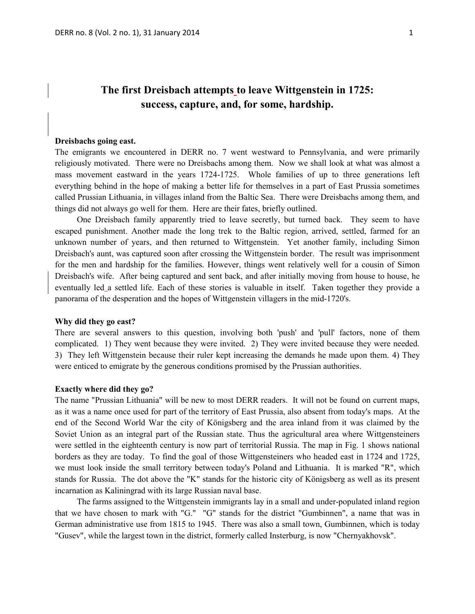# **The first Dreisbach attempts to leave Wittgenstein in 1725: success, capture, and, for some, hardship.**

#### **Dreisbachs going east.**

The emigrants we encountered in DERR no. 7 went westward to Pennsylvania, and were primarily religiously motivated. There were no Dreisbachs among them. Now we shall look at what was almost a mass movement eastward in the years 1724-1725. Whole families of up to three generations left everything behind in the hope of making a better life for themselves in a part of East Prussia sometimes called Prussian Lithuania, in villages inland from the Baltic Sea. There were Dreisbachs among them, and things did not always go well for them. Here are their fates, briefly outlined.

One Dreisbach family apparently tried to leave secretly, but turned back. They seem to have escaped punishment. Another made the long trek to the Baltic region, arrived, settled, farmed for an unknown number of years, and then returned to Wittgenstein. Yet another family, including Simon Dreisbach's aunt, was captured soon after crossing the Wittgenstein border. The result was imprisonment for the men and hardship for the families. However, things went relatively well for a cousin of Simon Dreisbach's wife. After being captured and sent back, and after initially moving from house to house, he eventually led a settled life. Each of these stories is valuable in itself. Taken together they provide a panorama of the desperation and the hopes of Wittgenstein villagers in the mid-1720's.

#### **Why did they go east?**

There are several answers to this question, involving both 'push' and 'pull' factors, none of them complicated. 1) They went because they were invited. 2) They were invited because they were needed. 3) They left Wittgenstein because their ruler kept increasing the demands he made upon them. 4) They were enticed to emigrate by the generous conditions promised by the Prussian authorities.

### **Exactly where did they go?**

The name "Prussian Lithuania" will be new to most DERR readers. It will not be found on current maps, as it was a name once used for part of the territory of East Prussia, also absent from today's maps. At the end of the Second World War the city of Königsberg and the area inland from it was claimed by the Soviet Union as an integral part of the Russian state. Thus the agricultural area where Wittgensteiners were settled in the eighteenth century is now part of territorial Russia. The map in Fig. 1 shows national borders as they are today. To find the goal of those Wittgensteiners who headed east in 1724 and 1725, we must look inside the small territory between today's Poland and Lithuania. It is marked "R", which stands for Russia. The dot above the "K" stands for the historic city of Königsberg as well as its present incarnation as Kaliningrad with its large Russian naval base.

The farms assigned to the Wittgenstein immigrants lay in a small and under-populated inland region that we have chosen to mark with "G." "G" stands for the district "Gumbinnen", a name that was in German administrative use from 1815 to 1945. There was also a small town, Gumbinnen, which is today "Gusev", while the largest town in the district, formerly called Insterburg, is now "Chernyakhovsk".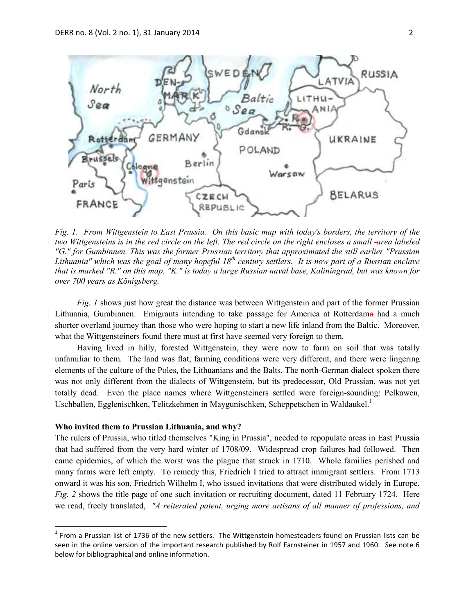

*Fig. 1. From Wittgenstein to East Prussia. On this basic map with today's borders, the territory of the two Wittgensteins is in the red circle on the left. The red circle on the right encloses a small area labeled "G." for Gumbinnen. This was the former Prussian territory that approximated the still earlier "Prussian Lithuania" which was the goal of many hopeful 18th century settlers. It is now part of a Russian enclave that is marked "R." on this map. "K." is today a large Russian naval base, Kaliningrad, but was known for over 700 years as Königsberg.* 

*Fig. 1* shows just how great the distance was between Wittgenstein and part of the former Prussian Lithuania, Gumbinnen. Emigrants intending to take passage for America at Rotterdama had a much shorter overland journey than those who were hoping to start a new life inland from the Baltic. Moreover, what the Wittgensteiners found there must at first have seemed very foreign to them.

Having lived in hilly, forested Wittgenstein, they were now to farm on soil that was totally unfamiliar to them. The land was flat, farming conditions were very different, and there were lingering elements of the culture of the Poles, the Lithuanians and the Balts. The north-German dialect spoken there was not only different from the dialects of Wittgenstein, but its predecessor, Old Prussian, was not yet totally dead. Even the place names where Wittgensteiners settled were foreign-sounding: Pelkawen, Uschballen, Egglenischken, Telitzkehmen in Maygunischken, Scheppetschen in Waldaukel.<sup>1</sup>

### **Who invited them to Prussian Lithuania, and why?**

 $\overline{a}$ 

The rulers of Prussia, who titled themselves "King in Prussia", needed to repopulate areas in East Prussia that had suffered from the very hard winter of 1708/09. Widespread crop failures had followed. Then came epidemics, of which the worst was the plague that struck in 1710. Whole families perished and many farms were left empty. To remedy this, Friedrich I tried to attract immigrant settlers. From 1713 onward it was his son, Friedrich Wilhelm I, who issued invitations that were distributed widely in Europe. *Fig. 2* shows the title page of one such invitation or recruiting document, dated 11 February 1724. Here we read, freely translated, *"A reiterated patent, urging more artisans of all manner of professions, and* 

 $<sup>1</sup>$  From a Prussian list of 1736 of the new settlers. The Wittgenstein homesteaders found on Prussian lists can be</sup> seen in the online version of the important research published by Rolf Farnsteiner in 1957 and 1960. See note 6 below for bibliographical and online information.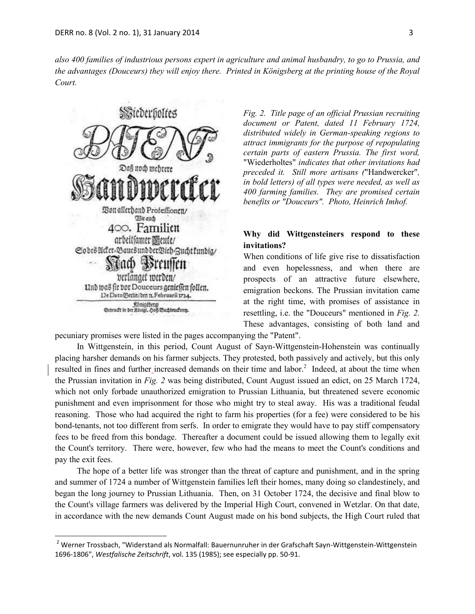*also 400 families of industrious persons expert in agriculture and animal husbandry, to go to Prussia, and the advantages (Douceurs) they will enjoy there. Printed in Königsberg at the printing house of the Royal Court.*



 $\ddot{\phantom{a}}$ 

*Fig. 2. Title page of an official Prussian recruiting document or Patent, dated 11 February 1724, distributed widely in German-speaking regions to attract immigrants for the purpose of repopulating certain parts of eastern Prussia. The first word,*  "Wiederholtes" *indicates that other invitations had preceded it. Still more artisans (*"Handwercker"*, in bold letters) of all types were needed, as well as 400 farming families. They are promised certain benefits or "Douceurs". Photo, Heinrich Imhof.*

# **Why did Wittgensteiners respond to these invitations?**

When conditions of life give rise to dissatisfaction and even hopelessness, and when there are prospects of an attractive future elsewhere, emigration beckons. The Prussian invitation came at the right time, with promises of assistance in resettling, i.e. the "Douceurs" mentioned in *Fig. 2.* These advantages, consisting of both land and

pecuniary promises were listed in the pages accompanying the "Patent".

In Wittgenstein, in this period, Count August of Sayn-Wittgenstein-Hohenstein was continually placing harsher demands on his farmer subjects. They protested, both passively and actively, but this only resulted in fines and further increased demands on their time and labor.<sup>2</sup> Indeed, at about the time when the Prussian invitation in *Fig. 2* was being distributed, Count August issued an edict, on 25 March 1724, which not only forbade unauthorized emigration to Prussian Lithuania, but threatened severe economic punishment and even imprisonment for those who might try to steal away. His was a traditional feudal reasoning. Those who had acquired the right to farm his properties (for a fee) were considered to be his bond-tenants, not too different from serfs. In order to emigrate they would have to pay stiff compensatory fees to be freed from this bondage. Thereafter a document could be issued allowing them to legally exit the Count's territory. There were, however, few who had the means to meet the Count's conditions and pay the exit fees.

The hope of a better life was stronger than the threat of capture and punishment, and in the spring and summer of 1724 a number of Wittgenstein families left their homes, many doing so clandestinely, and began the long journey to Prussian Lithuania. Then, on 31 October 1724, the decisive and final blow to the Count's village farmers was delivered by the Imperial High Court, convened in Wetzlar. On that date, in accordance with the new demands Count August made on his bond subjects, the High Court ruled that

<sup>&</sup>lt;sup>2</sup> Werner Trossbach, "Widerstand als Normalfall: Bauernunruher in der Grafschaft Sayn-Wittgenstein-Wittgenstein 1696-1806", *Westfalische Zeitschrift*, vol. 135 (1985); see especially pp. 50-91.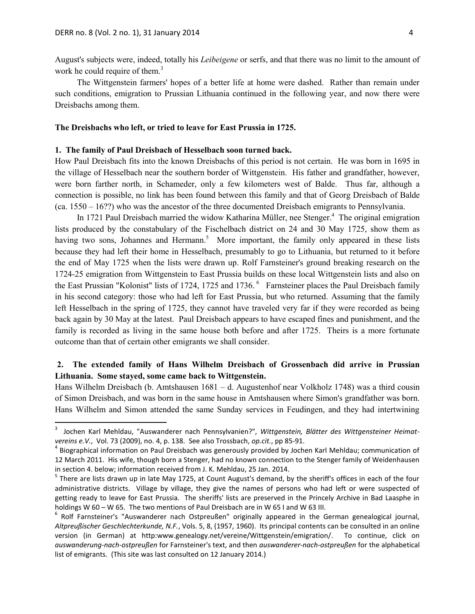$\overline{a}$ 

August's subjects were, indeed, totally his *Leibeigene* or serfs, and that there was no limit to the amount of work he could require of them.<sup>3</sup>

The Wittgenstein farmers' hopes of a better life at home were dashed. Rather than remain under such conditions, emigration to Prussian Lithuania continued in the following year, and now there were Dreisbachs among them.

### **The Dreisbachs who left, or tried to leave for East Prussia in 1725.**

### **1. The family of Paul Dreisbach of Hesselbach soon turned back.**

How Paul Dreisbach fits into the known Dreisbachs of this period is not certain. He was born in 1695 in the village of Hesselbach near the southern border of Wittgenstein. His father and grandfather, however, were born farther north, in Schameder, only a few kilometers west of Balde. Thus far, although a connection is possible, no link has been found between this family and that of Georg Dreisbach of Balde (ca. 1550 – 16??) who was the ancestor of the three documented Dreisbach emigrants to Pennsylvania.

In 1721 Paul Dreisbach married the widow Katharina Müller, nee Stenger.<sup>4</sup> The original emigration lists produced by the constabulary of the Fischelbach district on 24 and 30 May 1725, show them as having two sons, Johannes and Hermann.<sup>5</sup> More important, the family only appeared in these lists because they had left their home in Hesselbach, presumably to go to Lithuania, but returned to it before the end of May 1725 when the lists were drawn up. Rolf Farnsteiner's ground breaking research on the 1724-25 emigration from Wittgenstein to East Prussia builds on these local Wittgenstein lists and also on the East Prussian "Kolonist" lists of 1724, 1725 and 1736.<sup>6</sup> Farnsteiner places the Paul Dreisbach family in his second category: those who had left for East Prussia, but who returned. Assuming that the family left Hesselbach in the spring of 1725, they cannot have traveled very far if they were recorded as being back again by 30 May at the latest. Paul Dreisbach appears to have escaped fines and punishment, and the family is recorded as living in the same house both before and after 1725. Theirs is a more fortunate outcome than that of certain other emigrants we shall consider.

## **2. The extended family of Hans Wilhelm Dreisbach of Grossenbach did arrive in Prussian Lithuania. Some stayed, some came back to Wittgenstein.**

Hans Wilhelm Dreisbach (b. Amtshausen 1681 – d. Augustenhof near Volkholz 1748) was a third cousin of Simon Dreisbach, and was born in the same house in Amtshausen where Simon's grandfather was born. Hans Wilhelm and Simon attended the same Sunday services in Feudingen, and they had intertwining

<sup>3</sup> Jochen Karl Mehldau, "Auswanderer nach Pennsylvanien?", *Wittgenstein, Blätter des Wittgensteiner Heimatvereins e.V.*, Vol. 73 (2009), no. 4, p. 138. See also Trossbach, *op.cit.*, pp 85-91.

<sup>&</sup>lt;sup>4</sup> Biographical information on Paul Dreisbach was generously provided by Jochen Karl Mehldau; communication of 12 March 2011. His wife, though born a Stenger, had no known connection to the Stenger family of Weidenhausen in section 4. below; information received from J. K. Mehldau, 25 Jan. 2014.

<sup>&</sup>lt;sup>5</sup> There are lists drawn up in late May 1725, at Count August's demand, by the sheriff's offices in each of the four administrative districts. Village by village, they give the names of persons who had left or were suspected of getting ready to leave for East Prussia. The sheriffs' lists are preserved in the Princely Archive in Bad Laasphe in holdings W 60 – W 65. The two mentions of Paul Dreisbach are in W 65 I and W 63 III.

<sup>&</sup>lt;sup>6</sup> Rolf Farnsteiner's "Auswanderer nach Ostpreußen" originally appeared in the German genealogical journal, *Altpreußischer Geschlechterkunde, N.F.*, Vols. 5, 8, (1957, 1960). Its principal contents can be consulted in an online version (in German) at http:www.genealogy.net/vereine/Wittgenstein/emigration/. To continue, click on *auswanderung-nach-ostpreußen* for Farnsteiner's text, and then *auswanderer-nach-ostpreußen* for the alphabetical list of emigrants. (This site was last consulted on 12 January 2014.)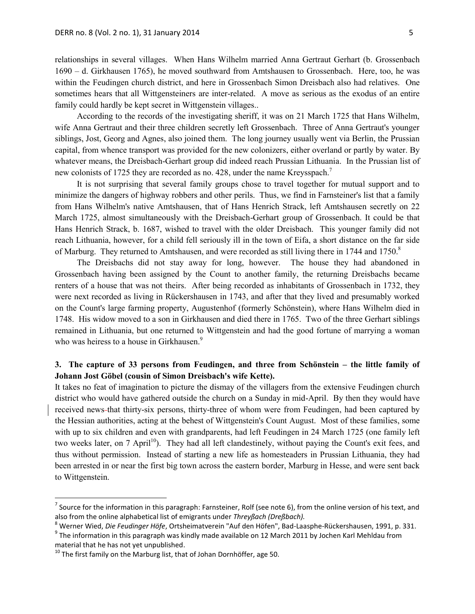relationships in several villages. When Hans Wilhelm married Anna Gertraut Gerhart (b. Grossenbach 1690 – d. Girkhausen 1765), he moved southward from Amtshausen to Grossenbach. Here, too, he was within the Feudingen church district, and here in Grossenbach Simon Dreisbach also had relatives. One sometimes hears that all Wittgensteiners are inter-related. A move as serious as the exodus of an entire family could hardly be kept secret in Wittgenstein villages..

According to the records of the investigating sheriff, it was on 21 March 1725 that Hans Wilhelm, wife Anna Gertraut and their three children secretly left Grossenbach. Three of Anna Gertraut's younger siblings, Jost, Georg and Agnes, also joined them. The long journey usually went via Berlin, the Prussian capital, from whence transport was provided for the new colonizers, either overland or partly by water. By whatever means, the Dreisbach-Gerhart group did indeed reach Prussian Lithuania. In the Prussian list of new colonists of 1725 they are recorded as no. 428, under the name Kreysspach.<sup>7</sup>

It is not surprising that several family groups chose to travel together for mutual support and to minimize the dangers of highway robbers and other perils. Thus, we find in Farnsteiner's list that a family from Hans Wilhelm's native Amtshausen, that of Hans Henrich Strack, left Amtshausen secretly on 22 March 1725, almost simultaneously with the Dreisbach-Gerhart group of Grossenbach. It could be that Hans Henrich Strack, b. 1687, wished to travel with the older Dreisbach. This younger family did not reach Lithuania, however, for a child fell seriously ill in the town of Eifa, a short distance on the far side of Marburg. They returned to Amtshausen, and were recorded as still living there in 1744 and 1750.<sup>8</sup>

The Dreisbachs did not stay away for long, however. The house they had abandoned in Grossenbach having been assigned by the Count to another family, the returning Dreisbachs became renters of a house that was not theirs. After being recorded as inhabitants of Grossenbach in 1732, they were next recorded as living in Rückershausen in 1743, and after that they lived and presumably worked on the Count's large farming property, Augustenhof (formerly Schönstein), where Hans Wilhelm died in 1748. His widow moved to a son in Girkhausen and died there in 1765. Two of the three Gerhart siblings remained in Lithuania, but one returned to Wittgenstein and had the good fortune of marrying a woman who was heiress to a house in Girkhausen.<sup>9</sup>

# **3. The capture of 33 persons from Feudingen, and three from Schönstein – the little family of Johann Jost Göbel (cousin of Simon Dreisbach's wife Kette).**

It takes no feat of imagination to picture the dismay of the villagers from the extensive Feudingen church district who would have gathered outside the church on a Sunday in mid-April. By then they would have received news-that thirty-six persons, thirty-three of whom were from Feudingen, had been captured by the Hessian authorities, acting at the behest of Wittgenstein's Count August. Most of these families, some with up to six children and even with grandparents, had left Feudingen in 24 March 1725 (one family left two weeks later, on 7 April<sup>10</sup>). They had all left clandestinely, without paying the Count's exit fees, and thus without permission. Instead of starting a new life as homesteaders in Prussian Lithuania, they had been arrested in or near the first big town across the eastern border, Marburg in Hesse, and were sent back to Wittgenstein.

<sup>&</sup>lt;sup>7</sup> Source for the information in this paragraph: Farnsteiner, Rolf (see note 6), from the online version of his text, and also from the online alphabetical list of emigrants under *Threyßach (Dreßbach).*

<sup>8</sup> Werner Wied, *Die Feudinger Höfe*, Ortsheimatverein "Auf den Höfen", Bad-Laasphe-Rückershausen, 1991, p. 331.

 $^9$  The information in this paragraph was kindly made available on 12 March 2011 by Jochen Karl Mehldau from material that he has not yet unpublished.

 $10$  The first family on the Marburg list, that of Johan Dornhöffer, age 50.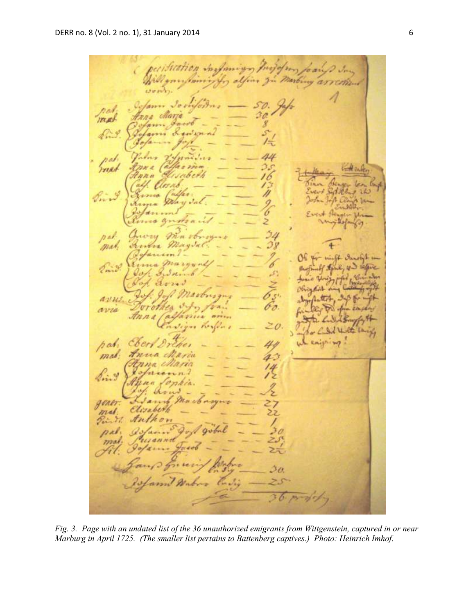ion maximum  $a<sub>j</sub>$ Come nes mast Ÿ pel reat  $H_{D\lambda}$ it.  $\n p \n s \n k$ mar.  $\alpha$ will Darot 2m 队 5  $421115$ avu Rosigh  $\mathbf{w}$  $hat$ mal. 4 Lind, gener mal

*Fig. 3. Page with an undated list of the 36 unauthorized emigrants from Wittgenstein, captured in or near Marburg in April 1725. (The smaller list pertains to Battenberg captives.) Photo: Heinrich Imhof.*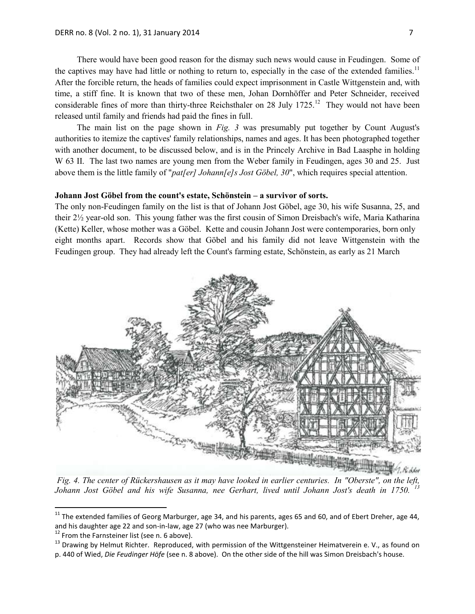There would have been good reason for the dismay such news would cause in Feudingen. Some of the captives may have had little or nothing to return to, especially in the case of the extended families.<sup>11</sup> After the forcible return, the heads of families could expect imprisonment in Castle Wittgenstein and, with time, a stiff fine. It is known that two of these men, Johan Dornhöffer and Peter Schneider, received considerable fines of more than thirty-three Reichsthaler on 28 July  $1725$ .<sup>12</sup> They would not have been released until family and friends had paid the fines in full.

The main list on the page shown in *Fig. 3* was presumably put together by Count August's authorities to itemize the captives' family relationships, names and ages. It has been photographed together with another document, to be discussed below, and is in the Princely Archive in Bad Laasphe in holding W 63 II. The last two names are young men from the Weber family in Feudingen, ages 30 and 25. Just above them is the little family of "*pat[er] Johann[e]s Jost Göbel, 30*", which requires special attention.

### **Johann Jost Göbel from the count's estate, Schönstein – a survivor of sorts.**

The only non-Feudingen family on the list is that of Johann Jost Göbel, age 30, his wife Susanna, 25, and their 2½ year-old son. This young father was the first cousin of Simon Dreisbach's wife, Maria Katharina (Kette) Keller, whose mother was a Göbel. Kette and cousin Johann Jost were contemporaries, born only eight months apart. Records show that Göbel and his family did not leave Wittgenstein with the Feudingen group. They had already left the Count's farming estate, Schönstein, as early as 21 March



*Fig. 4. The center of Rückershausen as it may have looked in earlier centuries. In "Oberste", on the left, Johann Jost Göbel and his wife Susanna, nee Gerhart, lived until Johann Jost's death in 1750. <sup>13</sup>*

 $^{11}$  The extended families of Georg Marburger, age 34, and his parents, ages 65 and 60, and of Ebert Dreher, age 44, and his daughter age 22 and son-in-law, age 27 (who was nee Marburger).

 $12$  From the Farnsteiner list (see n. 6 above).

<sup>&</sup>lt;sup>13</sup> Drawing by Helmut Richter. Reproduced, with permission of the Wittgensteiner Heimatverein e. V., as found on p. 440 of Wied, *Die Feudinger Höfe* (see n. 8 above). On the other side of the hill was Simon Dreisbach's house.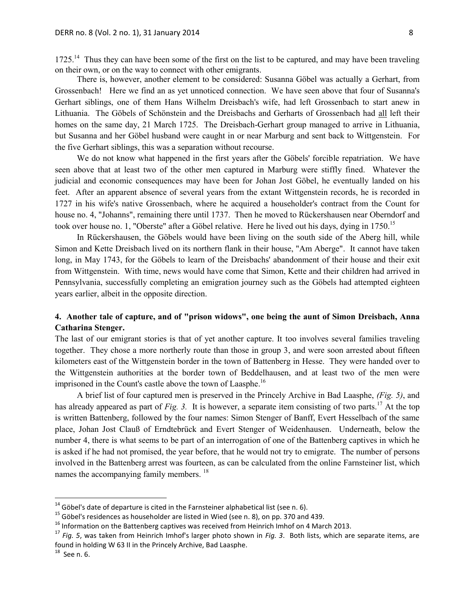1725.<sup>14</sup> Thus they can have been some of the first on the list to be captured, and may have been traveling on their own, or on the way to connect with other emigrants.

There is, however, another element to be considered: Susanna Göbel was actually a Gerhart, from Grossenbach! Here we find an as yet unnoticed connection. We have seen above that four of Susanna's Gerhart siblings, one of them Hans Wilhelm Dreisbach's wife, had left Grossenbach to start anew in Lithuania. The Göbels of Schönstein and the Dreisbachs and Gerharts of Grossenbach had all left their homes on the same day, 21 March 1725. The Dreisbach-Gerhart group managed to arrive in Lithuania, but Susanna and her Göbel husband were caught in or near Marburg and sent back to Wittgenstein. For the five Gerhart siblings, this was a separation without recourse.

We do not know what happened in the first years after the Göbels' forcible repatriation. We have seen above that at least two of the other men captured in Marburg were stiffly fined. Whatever the judicial and economic consequences may have been for Johan Jost Göbel, he eventually landed on his feet. After an apparent absence of several years from the extant Wittgenstein records, he is recorded in 1727 in his wife's native Grossenbach, where he acquired a householder's contract from the Count for house no. 4, "Johanns", remaining there until 1737. Then he moved to Rückershausen near Oberndorf and took over house no. 1, "Oberste" after a Göbel relative. Here he lived out his days, dying in 1750.<sup>15</sup>

In Rückershausen, the Göbels would have been living on the south side of the Aberg hill, while Simon and Kette Dreisbach lived on its northern flank in their house, "Am Aberge". It cannot have taken long, in May 1743, for the Göbels to learn of the Dreisbachs' abandonment of their house and their exit from Wittgenstein. With time, news would have come that Simon, Kette and their children had arrived in Pennsylvania, successfully completing an emigration journey such as the Göbels had attempted eighteen years earlier, albeit in the opposite direction.

# **4. Another tale of capture, and of "prison widows", one being the aunt of Simon Dreisbach, Anna Catharina Stenger.**

The last of our emigrant stories is that of yet another capture. It too involves several families traveling together. They chose a more northerly route than those in group 3, and were soon arrested about fifteen kilometers east of the Wittgenstein border in the town of Battenberg in Hesse. They were handed over to the Wittgenstein authorities at the border town of Beddelhausen, and at least two of the men were imprisoned in the Count's castle above the town of Laasphe.<sup>16</sup>

A brief list of four captured men is preserved in the Princely Archive in Bad Laasphe, *(Fig. 5)*, and has already appeared as part of *Fig. 3.* It is however, a separate item consisting of two parts.<sup>17</sup> At the top is written Battenberg, followed by the four names: Simon Stenger of Banff, Evert Hesselbach of the same place, Johan Jost Clauß of Erndtebrück and Evert Stenger of Weidenhausen. Underneath, below the number 4, there is what seems to be part of an interrogation of one of the Battenberg captives in which he is asked if he had not promised, the year before, that he would not try to emigrate. The number of persons involved in the Battenberg arrest was fourteen, as can be calculated from the online Farnsteiner list, which names the accompanying family members. <sup>18</sup>

 $14$  Göbel's date of departure is cited in the Farnsteiner alphabetical list (see n. 6).

<sup>&</sup>lt;sup>15</sup> Göbel's residences as householder are listed in Wied (see n. 8), on pp. 370 and 439.

 $16$  Information on the Battenberg captives was received from Heinrich Imhof on 4 March 2013.

<sup>17</sup> *Fig. 5*, was taken from Heinrich Imhof's larger photo shown in *Fig. 3*. Both lists, which are separate items, are found in holding W 63 II in the Princely Archive, Bad Laasphe.

 $18$  See n. 6.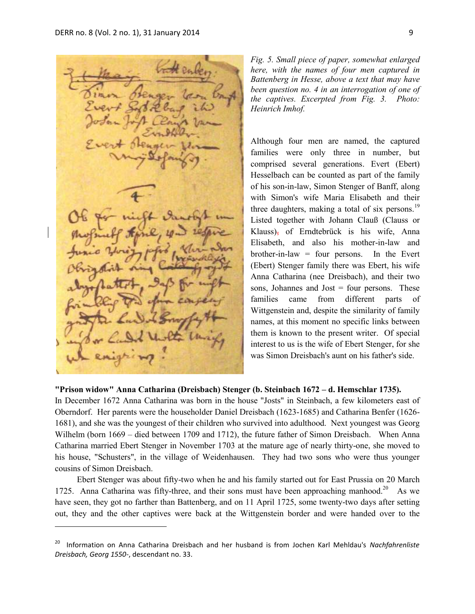$\overline{a}$ 

*Fig. 5. Small piece of paper, somewhat enlarged here, with the names of four men captured in Battenberg in Hesse, above a text that may have been question no. 4 in an interrogation of one of the captives. Excerpted from Fig. 3. Photo: Heinrich Imhof.*

Although four men are named, the captured families were only three in number, but comprised several generations. Evert (Ebert) Hesselbach can be counted as part of the family of his son-in-law, Simon Stenger of Banff, along with Simon's wife Maria Elisabeth and their three daughters, making a total of six persons.<sup>19</sup> Listed together with Johann Clauß (Clauss or Klauss), of Erndtebrück is his wife, Anna Elisabeth, and also his mother-in-law and brother-in-law = four persons. In the Evert (Ebert) Stenger family there was Ebert, his wife Anna Catharina (nee Dreisbach), and their two sons, Johannes and Jost = four persons. These families came from different parts of Wittgenstein and, despite the similarity of family names, at this moment no specific links between them is known to the present writer. Of special interest to us is the wife of Ebert Stenger, for she was Simon Dreisbach's aunt on his father's side.

## **"Prison widow" Anna Catharina (Dreisbach) Stenger (b. Steinbach 1672 – d. Hemschlar 1735).**

In December 1672 Anna Catharina was born in the house "Josts" in Steinbach, a few kilometers east of Oberndorf. Her parents were the householder Daniel Dreisbach (1623-1685) and Catharina Benfer (1626- 1681), and she was the youngest of their children who survived into adulthood. Next youngest was Georg Wilhelm (born 1669 – died between 1709 and 1712), the future father of Simon Dreisbach. When Anna Catharina married Ebert Stenger in November 1703 at the mature age of nearly thirty-one, she moved to his house, "Schusters", in the village of Weidenhausen. They had two sons who were thus younger cousins of Simon Dreisbach.

Ebert Stenger was about fifty-two when he and his family started out for East Prussia on 20 March 1725. Anna Catharina was fifty-three, and their sons must have been approaching manhood.<sup>20</sup> As we have seen, they got no farther than Battenberg, and on 11 April 1725, some twenty-two days after setting out, they and the other captives were back at the Wittgenstein border and were handed over to the

<sup>20</sup> Information on Anna Catharina Dreisbach and her husband is from Jochen Karl Mehldau's *Nachfahrenliste Dreisbach, Georg 1550-*, descendant no. 33.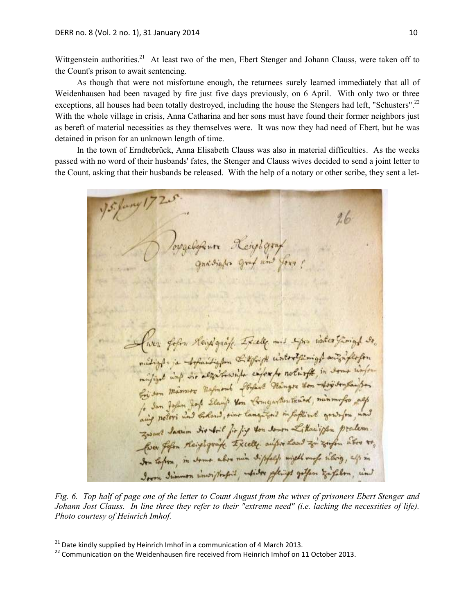Wittgenstein authorities.<sup>21</sup> At least two of the men, Ebert Stenger and Johann Clauss, were taken off to the Count's prison to await sentencing.

As though that were not misfortune enough, the returnees surely learned immediately that all of Weidenhausen had been ravaged by fire just five days previously, on 6 April. With only two or three exceptions, all houses had been totally destroyed, including the house the Stengers had left, "Schusters".<sup>22</sup> With the whole village in crisis, Anna Catharina and her sons must have found their former neighbors just as bereft of material necessities as they themselves were. It was now they had need of Ebert, but he was detained in prison for an unknown length of time.

In the town of Erndtebrück, Anna Elisabeth Clauss was also in material difficulties. As the weeks passed with no word of their husbands' fates, the Stenger and Clauss wives decided to send a joint letter to the Count, asking that their husbands be released. With the help of a notary or other scribe, they sent a let-

 $26$ fur form Heipigraft Excely mis signs water famight so, matight is the faithglin the afford winterstaning & and inflation mulige und die alzurtungen enforgte notworth, in deme worten for Jan John Jof Slauf ton Comgartentened, minmufro all aing notors and belond, sins languand in faftiral granton, und Zwant Jamin dir Aril fir fig von down Litarigan pralem. for for the playing Excelle aufor Land zi zofen aber to, Son tapon, in some abor min sippel might map interior, all in Iron Jummon inwightful, white glangs gotfon Englishm, in

*Fig. 6. Top half of page one of the letter to Count August from the wives of prisoners Ebert Stenger and Johann Jost Clauss. In line three they refer to their "extreme need" (i.e. lacking the necessities of life). Photo courtesy of Heinrich Imhof.*

 $\ddot{\phantom{a}}$ 

 $^{21}$  Date kindly supplied by Heinrich Imhof in a communication of 4 March 2013.

 $22$  Communication on the Weidenhausen fire received from Heinrich Imhof on 11 October 2013.